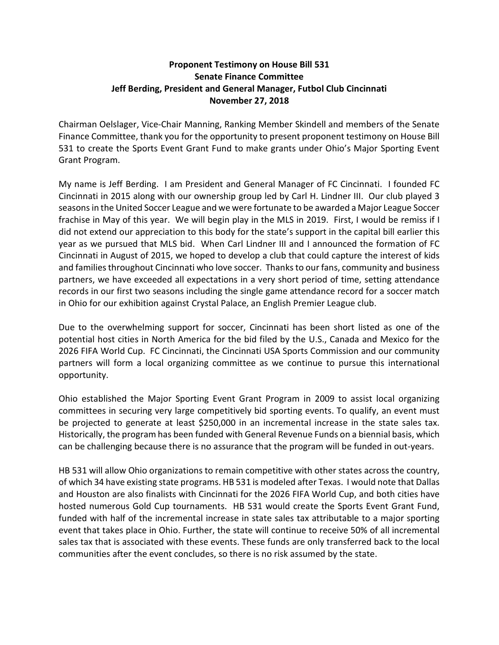## Proponent Testimony on House Bill 531 Senate Finance Committee Jeff Berding, President and General Manager, Futbol Club Cincinnati November 27, 2018

Chairman Oelslager, Vice-Chair Manning, Ranking Member Skindell and members of the Senate Finance Committee, thank you for the opportunity to present proponent testimony on House Bill 531 to create the Sports Event Grant Fund to make grants under Ohio's Major Sporting Event Grant Program.

My name is Jeff Berding. I am President and General Manager of FC Cincinnati. I founded FC Cincinnati in 2015 along with our ownership group led by Carl H. Lindner III. Our club played 3 seasons in the United Soccer League and we were fortunate to be awarded a Major League Soccer frachise in May of this year. We will begin play in the MLS in 2019. First, I would be remiss if I did not extend our appreciation to this body for the state's support in the capital bill earlier this year as we pursued that MLS bid. When Carl Lindner III and I announced the formation of FC Cincinnati in August of 2015, we hoped to develop a club that could capture the interest of kids and families throughout Cincinnati who love soccer. Thanks to our fans, community and business partners, we have exceeded all expectations in a very short period of time, setting attendance records in our first two seasons including the single game attendance record for a soccer match in Ohio for our exhibition against Crystal Palace, an English Premier League club.

Due to the overwhelming support for soccer, Cincinnati has been short listed as one of the potential host cities in North America for the bid filed by the U.S., Canada and Mexico for the 2026 FIFA World Cup. FC Cincinnati, the Cincinnati USA Sports Commission and our community partners will form a local organizing committee as we continue to pursue this international opportunity.

Ohio established the Major Sporting Event Grant Program in 2009 to assist local organizing committees in securing very large competitively bid sporting events. To qualify, an event must be projected to generate at least \$250,000 in an incremental increase in the state sales tax. Historically, the program has been funded with General Revenue Funds on a biennial basis, which can be challenging because there is no assurance that the program will be funded in out-years.

HB 531 will allow Ohio organizations to remain competitive with other states across the country, of which 34 have existing state programs. HB 531 is modeled after Texas. I would note that Dallas and Houston are also finalists with Cincinnati for the 2026 FIFA World Cup, and both cities have hosted numerous Gold Cup tournaments. HB 531 would create the Sports Event Grant Fund, funded with half of the incremental increase in state sales tax attributable to a major sporting event that takes place in Ohio. Further, the state will continue to receive 50% of all incremental sales tax that is associated with these events. These funds are only transferred back to the local communities after the event concludes, so there is no risk assumed by the state.